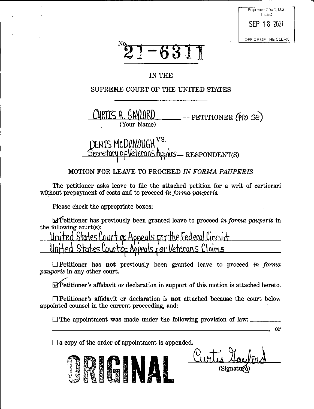| Supreme Court, U.S. |  |  |
|---------------------|--|--|
| FII ED              |  |  |
|                     |  |  |
|                     |  |  |
| SEP 18 2021         |  |  |
|                     |  |  |
|                     |  |  |
|                     |  |  |
| OFFICE OF THE CLERK |  |  |



### IN THE

## SUPREME COURT OF THE UNITED STATES

CURTIS R. GAYLORD  $-$  PETITIONER (Pro Se) (Your Name)

# XENIS MCDONOUGH <sup>VS.</sup> OF Veterans Affairs - RESPONDENT(S)

## MOTION FOR LEAVE TO PROCEED IN FORMA PAUPERIS

The petitioner asks leave to file the attached petition for a writ of certiorari without prepayment of costs and to proceed in forma pauperis.

Please check the appropriate boxes:

 $\Delta$  Petitioner has previously been granted leave to proceed in forma pauperis in the following court(s):

ourt of Appeals for the Federal Circuit <u>burtof Appeals for Veterans Claims</u>

 $\Box$  Petitioner has not previously been granted leave to proceed in forma *pauperis* in any other court.

 $\Delta$  Petitioner's affidavit or declaration in support of this motion is attached hereto.

 $\Box$  Petitioner's affidavit or declaration is **not** attached because the court below appointed counsel in the current proceeding, and:

 $\Box$  The appointment was made under the following provision of law:

 $\Box$  a copy of the order of appointment is appended.

(Signati

or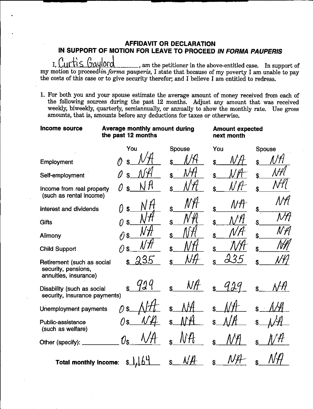### **AFFIDAVIT OR DECLARATION** IN SUPPORT OF MOTION FOR LEAVE TO PROCEED IN FORMA PAUPERIS

I. Curtis Gaylord I,  $\bigcup_{i=1}^n \bigcup_{i=1}^n \bigcup_{i=1}^n \bigcup_{i=1}^n \bigcup_{i=1}^n \bigcup_{i=1}^n \bigcup_{i=1}^n \bigcup_{i=1}^n \bigcup_{i=1}^n \bigcup_{i=1}^n \bigcup_{i=1}^n \bigcup_{i=1}^n \bigcup_{i=1}^n \bigcup_{i=1}^n \bigcup_{i=1}^n \bigcup_{i=1}^n \bigcup_{i=1}^n \bigcup_{i=1}^n \bigcup_{i=1}^n \bigcup_{i=1}^n \bigcup_{i=1}^n \bigcup_{i=1$ the costs of this case or to give security therefor; and I believe I am entitled to redress.

1. For both you and your spouse estimate the average amount of money received from each of the following sources during the past 12 months. Adjust any amount that was received weekly, biweekly, quarterly, semiannually, or annually to show the monthly rate. Use gross amounts, that is, amounts before any deductions for taxes or otherwise.

| Income source                                                              | Average monthly amount during<br>the past 12 months |        | <b>Amount expected</b><br>next month |                          |
|----------------------------------------------------------------------------|-----------------------------------------------------|--------|--------------------------------------|--------------------------|
|                                                                            | You                                                 | Spouse | You                                  | Spouse                   |
| Employment                                                                 |                                                     |        | Ŝ                                    |                          |
| Self-employment                                                            |                                                     |        |                                      |                          |
| Income from real property<br>(such as rental income)                       | Ŋ                                                   | \$     |                                      |                          |
| Interest and dividends                                                     | f)<br>\$                                            | \$     | N/†                                  | \$                       |
| Gifts                                                                      | $\mathbf{\hat{z}}$<br>Ω                             | \$     | \$                                   | Ŝ                        |
| Alimony                                                                    | ለ)<br>\$                                            | \$     | \$                                   | $\mathcal{N}\mathcal{H}$ |
| <b>Child Support</b>                                                       | \$<br>( I                                           |        | Ś                                    |                          |
| Retirement (such as social<br>security, pensions,<br>annuities, insurance) | 235                                                 |        |                                      |                          |
| Disability (such as social<br>security, insurance payments)                |                                                     |        |                                      |                          |
| Unemployment payments                                                      | $\mathbf{\hat{s}}$                                  |        |                                      |                          |
| Public-assistance<br>(such as welfare)                                     | 7) s                                                | \$     | \$                                   |                          |
| Other (specify):                                                           | (/่ร                                                |        | \$                                   |                          |
| <b>Total monthly income:</b>                                               | \$                                                  |        |                                      |                          |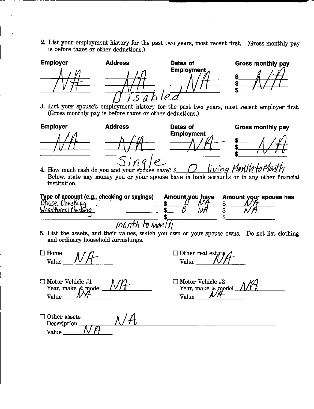2. List your employment history for the past two years, most recent first. (Gross monthly pay is before taxes or other deductions.)







**Gross monthly pay** 

**Gross monthly pay** 

3. List your spouse's employment history for the past two years, most recent employer first. (Gross monthly pay is before taxes or other deductions.)

Dates of

**Employment** 





Tiving Month to Menth 4. How much cash do you and your spouse have? \$ Below, state any money you or your spouse have in bank accounts or in any other financial institution.

| Type of account (e.g., checking or savings)<br>Chase Checking<br>Wood forcs Checking |  |  |
|--------------------------------------------------------------------------------------|--|--|
|                                                                                      |  |  |

**Address** 

| Amount,you haye Amount your spouse has |
|----------------------------------------|
|                                        |
|                                        |
|                                        |
|                                        |

month to month

5. List the assets, and their values, which you own or your spouse owns. Do not list clothing and ordinary household furnishings.

 $\Box$  Home Value

 $\Box$  Other real estate Value

 $\Box$  Motor Vehicle #1 Year, make & model Value

 $\Box$  Motor Vehicle #2

Year, make & model\_ Value

 $\Box$  Other assets Description Value\_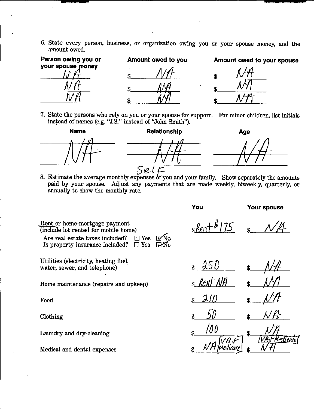6. State every person, business, or organization owing you or your spouse money, and the amount owed.

| Person owing you or | Amount owed to you | Amount owed to your spouse |  |  |
|---------------------|--------------------|----------------------------|--|--|
| your spouse money   |                    | l J                        |  |  |
|                     |                    |                            |  |  |
|                     |                    |                            |  |  |

7. State the persons who rely on you or your spouse for support. For minor children, list initials instead of names (e.g. "J.S." instead of "John Smith").



8. Estimate the average monthly expenses of you and your family. Show separately the amounts paid by your spouse. Adjust any payments that are made weekly, biweekly, quarterly, or annually to show the monthly rate.

**You Your spouse**

**\$. \$.**

Food \$ 210 \$ Clothing  $\frac{1}{2}$   $\frac{50}{4}$   $\frac{50}{4}$   $\frac{1}{2}$ *m*  $M$ *H*  $W$ <sup>*H*</sup> $F$ <sub>1</sub>  $M$ <sup>*H*<sup>*H*</sup>*A*</sup>

*<u>Rent</u>* or home-mortgage payment (include lot rented for mobile home) Are real estate taxes included? Is property insurance included?  $\Box$  Yes  $\square$  Yes  $\overline{\mathbf{W}}$ o

Utilities (electricity, heating fuel,  $\frac{1}{2}$  which is the set of  $\frac{1}{2}$  (i.e.,  $\frac{1}{2}$  i.e.,  $\frac{1}{2}$  i.e.,  $\frac{1}{2}$  i.e.,  $\frac{1}{2}$  i.e.,  $\frac{1}{2}$  i.e.,  $\frac{1}{2}$  i.e.,  $\frac{1}{2}$  i.e.,  $\frac{1}{2}$  i.e.,  $\frac{1}{2}$  i.e.,  $\frac{1}{2}$  i.e.,  $\frac{1}{2}$  i.e.

Home maintenance (repairs and upkeep) \$ *kent* NH

Laundry and dry-cleaning **\$.**

Medical and dental expenses **\$.**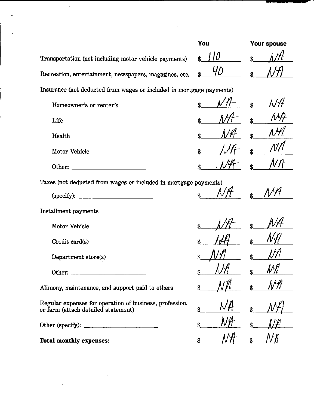|                                                                                                | You       | <b>Your spouse</b> |  |
|------------------------------------------------------------------------------------------------|-----------|--------------------|--|
| Transportation (not including motor vehicle payments)                                          |           |                    |  |
| Recreation, entertainment, newspapers, magazines, etc.                                         | 40        |                    |  |
| Insurance (not deducted from wages or included in mortgage payments)                           |           |                    |  |
| Homeowner's or renter's                                                                        |           |                    |  |
| Life                                                                                           |           |                    |  |
| Health                                                                                         |           | ¢                  |  |
| Motor Vehicle                                                                                  |           |                    |  |
| Other: $\frac{1}{\sqrt{1-\frac{1}{2}} \cdot \cdot \cdot \cdot}$                                |           | \$                 |  |
| Taxes (not deducted from wages or included in mortgage payments)                               |           |                    |  |
| (specify):                                                                                     |           |                    |  |
| Installment payments                                                                           |           |                    |  |
| <b>Motor Vehicle</b>                                                                           |           |                    |  |
| Credit card(s)                                                                                 |           |                    |  |
| Department store(s)                                                                            |           |                    |  |
| Other:                                                                                         | 1011<br>δ | NH                 |  |
| Alimony, maintenance, and support paid to others                                               |           |                    |  |
| Regular expenses for operation of business, profession,<br>or farm (attach detailed statement) | \$        |                    |  |
|                                                                                                | \$        |                    |  |
| <b>Total monthly expenses:</b>                                                                 |           |                    |  |

J.

 $\ddot{\phantom{a}}$